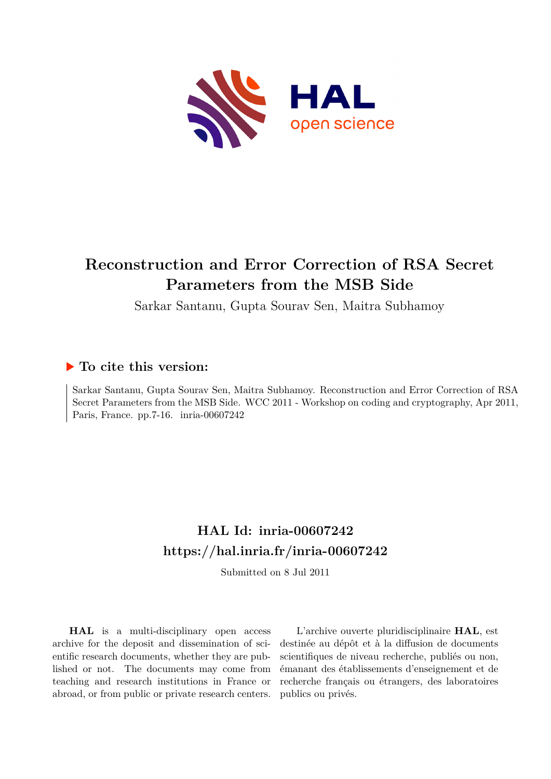

# **Reconstruction and Error Correction of RSA Secret Parameters from the MSB Side**

Sarkar Santanu, Gupta Sourav Sen, Maitra Subhamoy

# **To cite this version:**

Sarkar Santanu, Gupta Sourav Sen, Maitra Subhamoy. Reconstruction and Error Correction of RSA Secret Parameters from the MSB Side. WCC 2011 - Workshop on coding and cryptography, Apr 2011, Paris, France. pp.7-16. inria-00607242

# **HAL Id: inria-00607242 <https://hal.inria.fr/inria-00607242>**

Submitted on 8 Jul 2011

**HAL** is a multi-disciplinary open access archive for the deposit and dissemination of scientific research documents, whether they are published or not. The documents may come from teaching and research institutions in France or abroad, or from public or private research centers.

L'archive ouverte pluridisciplinaire **HAL**, est destinée au dépôt et à la diffusion de documents scientifiques de niveau recherche, publiés ou non, émanant des établissements d'enseignement et de recherche français ou étrangers, des laboratoires publics ou privés.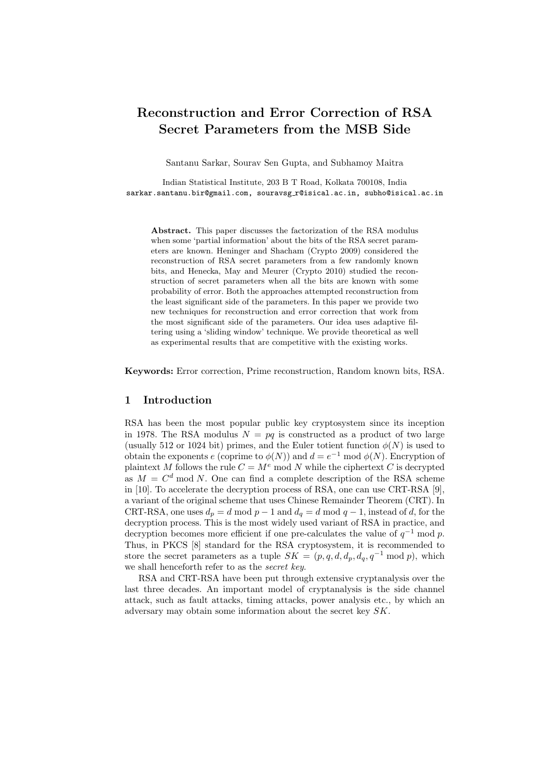# Reconstruction and Error Correction of RSA Secret Parameters from the MSB Side

Santanu Sarkar, Sourav Sen Gupta, and Subhamoy Maitra

Indian Statistical Institute, 203 B T Road, Kolkata 700108, India sarkar.santanu.bir@gmail.com, souravsg\_r@isical.ac.in, subho@isical.ac.in

Abstract. This paper discusses the factorization of the RSA modulus when some 'partial information' about the bits of the RSA secret parameters are known. Heninger and Shacham (Crypto 2009) considered the reconstruction of RSA secret parameters from a few randomly known bits, and Henecka, May and Meurer (Crypto 2010) studied the reconstruction of secret parameters when all the bits are known with some probability of error. Both the approaches attempted reconstruction from the least significant side of the parameters. In this paper we provide two new techniques for reconstruction and error correction that work from the most significant side of the parameters. Our idea uses adaptive filtering using a 'sliding window' technique. We provide theoretical as well as experimental results that are competitive with the existing works.

Keywords: Error correction, Prime reconstruction, Random known bits, RSA.

# 1 Introduction

RSA has been the most popular public key cryptosystem since its inception in 1978. The RSA modulus  $N = pq$  is constructed as a product of two large (usually 512 or 1024 bit) primes, and the Euler totient function  $\phi(N)$  is used to obtain the exponents e (coprime to  $\phi(N)$ ) and  $d = e^{-1} \text{ mod } \phi(N)$ . Encryption of plaintext M follows the rule  $C = M^e \mod N$  while the ciphertext C is decrypted as  $M = C<sup>d</sup>$  mod N. One can find a complete description of the RSA scheme in [10]. To accelerate the decryption process of RSA, one can use CRT-RSA [9], a variant of the original scheme that uses Chinese Remainder Theorem (CRT). In CRT-RSA, one uses  $d_p = d \mod p - 1$  and  $d_q = d \mod q - 1$ , instead of d, for the decryption process. This is the most widely used variant of RSA in practice, and decryption becomes more efficient if one pre-calculates the value of  $q^{-1}$  mod p. Thus, in PKCS [8] standard for the RSA cryptosystem, it is recommended to store the secret parameters as a tuple  $SK = (p, q, d, d_p, d_q, q^{-1} \mod p)$ , which we shall henceforth refer to as the secret key.

RSA and CRT-RSA have been put through extensive cryptanalysis over the last three decades. An important model of cryptanalysis is the side channel attack, such as fault attacks, timing attacks, power analysis etc., by which an adversary may obtain some information about the secret key SK.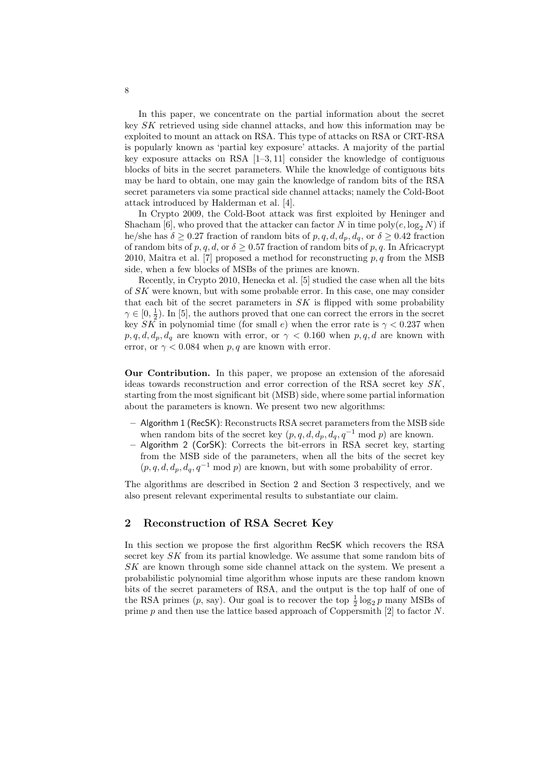In this paper, we concentrate on the partial information about the secret key SK retrieved using side channel attacks, and how this information may be exploited to mount an attack on RSA. This type of attacks on RSA or CRT-RSA is popularly known as 'partial key exposure' attacks. A majority of the partial key exposure attacks on RSA  $[1-3, 11]$  consider the knowledge of contiguous blocks of bits in the secret parameters. While the knowledge of contiguous bits may be hard to obtain, one may gain the knowledge of random bits of the RSA secret parameters via some practical side channel attacks; namely the Cold-Boot attack introduced by Halderman et al. [4].

In Crypto 2009, the Cold-Boot attack was first exploited by Heninger and Shacham [6], who proved that the attacker can factor N in time poly $(e, \log_2 N)$  if he/she has  $\delta \geq 0.27$  fraction of random bits of p, q, d,  $d_p$ ,  $d_q$ , or  $\delta \geq 0.42$  fraction of random bits of p, q, d, or  $\delta \geq 0.57$  fraction of random bits of p, q. In Africacrypt 2010, Maitra et al. [7] proposed a method for reconstructing  $p, q$  from the MSB side, when a few blocks of MSBs of the primes are known.

Recently, in Crypto 2010, Henecka et al. [5] studied the case when all the bits of SK were known, but with some probable error. In this case, one may consider that each bit of the secret parameters in  $SK$  is flipped with some probability  $\gamma \in [0, \frac{1}{2})$ . In [5], the authors proved that one can correct the errors in the secret key SK in polynomial time (for small e) when the error rate is  $\gamma < 0.237$  when  $p, q, d, d_p, d_q$  are known with error, or  $\gamma < 0.160$  when  $p, q, d$  are known with error, or  $\gamma$  < 0.084 when p, q are known with error.

Our Contribution. In this paper, we propose an extension of the aforesaid ideas towards reconstruction and error correction of the RSA secret key SK, starting from the most significant bit (MSB) side, where some partial information about the parameters is known. We present two new algorithms:

- Algorithm 1 (RecSK): Reconstructs RSA secret parameters from the MSB side when random bits of the secret key  $(p, q, d, d_p, d_q, q^{-1} \text{ mod } p)$  are known.
- Algorithm 2 (CorSK): Corrects the bit-errors in RSA secret key, starting from the MSB side of the parameters, when all the bits of the secret key  $(p, q, d, d_p, d_q, q^{-1} \bmod p)$  are known, but with some probability of error.

The algorithms are described in Section 2 and Section 3 respectively, and we also present relevant experimental results to substantiate our claim.

### 2 Reconstruction of RSA Secret Key

In this section we propose the first algorithm RecSK which recovers the RSA secret key SK from its partial knowledge. We assume that some random bits of SK are known through some side channel attack on the system. We present a probabilistic polynomial time algorithm whose inputs are these random known bits of the secret parameters of RSA, and the output is the top half of one of the RSA primes  $(p, say)$ . Our goal is to recover the top  $\frac{1}{2} \log_2 p$  many MSBs of prime  $p$  and then use the lattice based approach of Coppersmith [2] to factor  $N$ .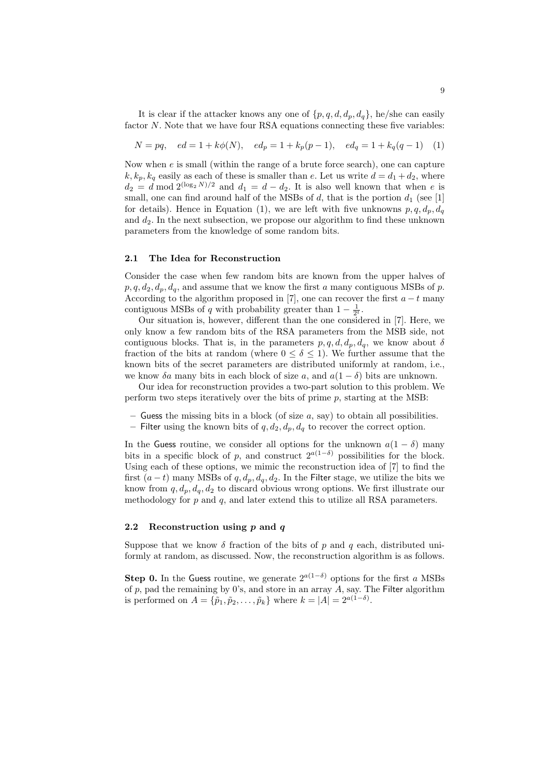It is clear if the attacker knows any one of  $\{p, q, d, d_p, d_q\}$ , he/she can easily factor N. Note that we have four RSA equations connecting these five variables:

$$
N = pq, \quad ed = 1 + k\phi(N), \quad ed_p = 1 + k_p(p-1), \quad ed_q = 1 + k_q(q-1) \quad (1)
$$

Now when  $e$  is small (within the range of a brute force search), one can capture  $k, k_p, k_q$  easily as each of these is smaller than e. Let us write  $d = d_1 + d_2$ , where  $d_2 = d \mod 2^{(\log_2 N)/2}$  and  $d_1 = d - d_2$ . It is also well known that when e is small, one can find around half of the MSBs of  $d$ , that is the portion  $d_1$  (see [1] for details). Hence in Equation (1), we are left with five unknowns  $p, q, d_p, d_q$ and  $d_2$ . In the next subsection, we propose our algorithm to find these unknown parameters from the knowledge of some random bits.

#### 2.1 The Idea for Reconstruction

Consider the case when few random bits are known from the upper halves of  $p, q, d_2, d_p, d_q$ , and assume that we know the first a many contiguous MSBs of p. According to the algorithm proposed in [7], one can recover the first  $a - t$  many contiguous MSBs of q with probability greater than  $1 - \frac{1}{2^t}$ .

Our situation is, however, different than the one considered in [7]. Here, we only know a few random bits of the RSA parameters from the MSB side, not contiguous blocks. That is, in the parameters  $p, q, d, d_p, d_q$ , we know about  $\delta$ fraction of the bits at random (where  $0 \le \delta \le 1$ ). We further assume that the known bits of the secret parameters are distributed uniformly at random, i.e., we know  $\delta a$  many bits in each block of size a, and  $a(1-\delta)$  bits are unknown.

Our idea for reconstruction provides a two-part solution to this problem. We perform two steps iteratively over the bits of prime  $p$ , starting at the MSB:

- Guess the missing bits in a block (of size  $a$ , say) to obtain all possibilities.
- Filter using the known bits of  $q, d_2, d_p, d_q$  to recover the correct option.

In the Guess routine, we consider all options for the unknown  $a(1 - \delta)$  many bits in a specific block of p, and construct  $2^{a(1-\delta)}$  possibilities for the block. Using each of these options, we mimic the reconstruction idea of [7] to find the first  $(a - t)$  many MSBs of  $q, d_p, d_q, d_2$ . In the Filter stage, we utilize the bits we know from  $q, d_p, d_q, d_2$  to discard obvious wrong options. We first illustrate our methodology for  $p$  and  $q$ , and later extend this to utilize all RSA parameters.

#### 2.2 Reconstruction using  $p$  and  $q$

Suppose that we know  $\delta$  fraction of the bits of p and q each, distributed uniformly at random, as discussed. Now, the reconstruction algorithm is as follows.

Step 0. In the Guess routine, we generate  $2^{a(1-\delta)}$  options for the first a MSBs of  $p$ , pad the remaining by 0's, and store in an array  $A$ , say. The Filter algorithm is performed on  $A = {\tilde{p}_1, \tilde{p}_2, \ldots, \tilde{p}_k}$  where  $k = |A| = 2^{a(1-\delta)}$ .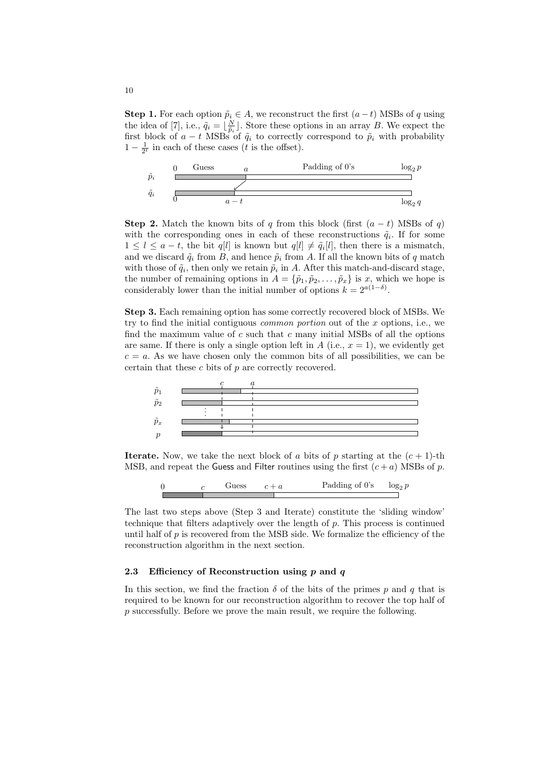**Step 1.** For each option  $\tilde{p}_i \in A$ , we reconstruct the first  $(a - t)$  MSBs of q using the idea of [7], i.e.,  $\tilde{q}_i = \lfloor \frac{N}{\tilde{p}_i} \rfloor$ . Store these options in an array B. We expect the first block of  $a - t$  MSBs of  $\tilde{q}_i$  to correctly correspond to  $\tilde{p}_i$  with probability  $1 - \frac{1}{2^t}$  in each of these cases (*t* is the offset).



**Step 2.** Match the known bits of q from this block (first  $(a - t)$  MSBs of q) with the corresponding ones in each of these reconstructions  $\tilde{q}_i$ . If for some  $1 \leq l \leq a-t$ , the bit  $q[l]$  is known but  $q[l] \neq \tilde{q}_i[l]$ , then there is a mismatch, and we discard  $\tilde{q}_i$  from B, and hence  $\tilde{p}_i$  from A. If all the known bits of q match with those of  $\tilde{q}_i$ , then only we retain  $\tilde{p}_i$  in A. After this match-and-discard stage, the number of remaining options in  $A = {\tilde{p}_1, \tilde{p}_2, \ldots, \tilde{p}_x}$  is x, which we hope is considerably lower than the initial number of options  $k = 2^{a(1-\delta)}$ .

Step 3. Each remaining option has some correctly recovered block of MSBs. We try to find the initial contiguous *common portion* out of the  $x$  options, i.e., we find the maximum value of  $c$  such that  $c$  many initial MSBs of all the options are same. If there is only a single option left in A (i.e.,  $x = 1$ ), we evidently get  $c = a$ . As we have chosen only the common bits of all possibilities, we can be certain that these  $c$  bits of  $p$  are correctly recovered.



**Iterate.** Now, we take the next block of a bits of p starting at the  $(c + 1)$ -th MSB, and repeat the Guess and Filter routines using the first  $(c + a)$  MSBs of p.

$$
0 \t\t c \t\text{Guess} \t\t c + a \t\text{Padding of 0's} \t\t \log_2 p
$$

The last two steps above (Step 3 and Iterate) constitute the 'sliding window' technique that filters adaptively over the length of  $p$ . This process is continued until half of  $p$  is recovered from the MSB side. We formalize the efficiency of the reconstruction algorithm in the next section.

# 2.3 Efficiency of Reconstruction using  $p$  and  $q$

In this section, we find the fraction  $\delta$  of the bits of the primes p and q that is required to be known for our reconstruction algorithm to recover the top half of p successfully. Before we prove the main result, we require the following.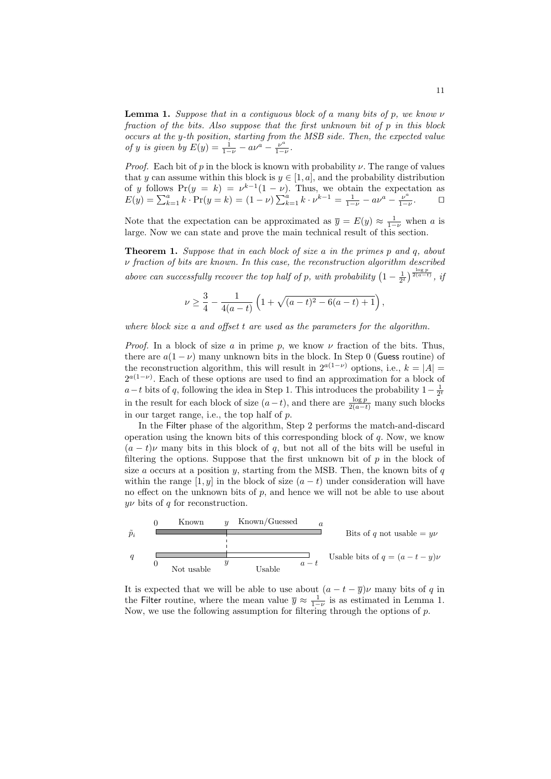**Lemma 1.** Suppose that in a contiguous block of a many bits of p, we know  $\nu$ fraction of the bits. Also suppose that the first unknown bit of p in this block occurs at the y-th position, starting from the MSB side. Then, the expected value of y is given by  $E(y) = \frac{1}{1-y} - a\nu^a - \frac{\nu^a}{1-\nu}$ .

*Proof.* Each bit of p in the block is known with probability  $\nu$ . The range of values that y can assume within this block is  $y \in [1, a]$ , and the probability distribution of y follows  $Pr(y = k) = \nu^{k-1}(1 - \nu)$ . Thus, we obtain the expectation as  $E(y) = \sum_{k=1}^{a} k \cdot Pr(y = k) = (1 - \nu) \sum_{k=1}^{a} k \cdot \nu^{k-1} = \frac{1}{1 - \nu} - a\nu^{a} - \frac{\nu^{a}}{1 - \nu}.$ 

Note that the expectation can be approximated as  $\overline{y} = E(y) \approx \frac{1}{1-\nu}$  when a is large. Now we can state and prove the main technical result of this section.

**Theorem 1.** Suppose that in each block of size a in the primes p and q, about  $\nu$  fraction of bits are known. In this case, the reconstruction algorithm described above can successfully recover the top half of p, with probability  $\left(1-\frac{1}{2^t}\right)^{\frac{\log p}{2(a-t)}}$ , if

$$
\nu \ge \frac{3}{4} - \frac{1}{4(a-t)} \left( 1 + \sqrt{(a-t)^2 - 6(a-t) + 1} \right),\,
$$

where block size a and offset t are used as the parameters for the algorithm.

*Proof.* In a block of size a in prime p, we know  $\nu$  fraction of the bits. Thus, there are  $a(1 - \nu)$  many unknown bits in the block. In Step 0 (Guess routine) of the reconstruction algorithm, this will result in  $2^{a(1-\nu)}$  options, i.e.,  $k = |A|$  $2^{a(1-\nu)}$ . Each of these options are used to find an approximation for a block of  $a-t$  bits of q, following the idea in Step 1. This introduces the probability  $1-\frac{1}{2^t}$ in the result for each block of size  $(a-t)$ , and there are  $\frac{\log p}{2(a-t)}$  many such blocks in our target range, i.e., the top half of p.

In the Filter phase of the algorithm, Step 2 performs the match-and-discard operation using the known bits of this corresponding block of  $q$ . Now, we know  $(a - t)\nu$  many bits in this block of q, but not all of the bits will be useful in filtering the options. Suppose that the first unknown bit of  $p$  in the block of size  $a$  occurs at a position  $y$ , starting from the MSB. Then, the known bits of  $q$ within the range [1, y] in the block of size  $(a - t)$  under consideration will have no effect on the unknown bits of  $p$ , and hence we will not be able to use about  $\psi$  bits of q for reconstruction.

| 0             | Known                           | $y$ | Known/Guessed                       | $a$ |
|---------------|---------------------------------|-----|-------------------------------------|-----|
| $\tilde{p}_i$ | Bits of $q$ not usable $= y\nu$ |     |                                     |     |
| $q$           | Not usable                      | $y$ | Usable bits of $q = (a - t - y)\nu$ |     |

It is expected that we will be able to use about  $(a - t - \overline{y})\nu$  many bits of q in the Filter routine, where the mean value  $\overline{y} \approx \frac{1}{1-\nu}$  is as estimated in Lemma 1. Now, we use the following assumption for filtering through the options of  $p$ .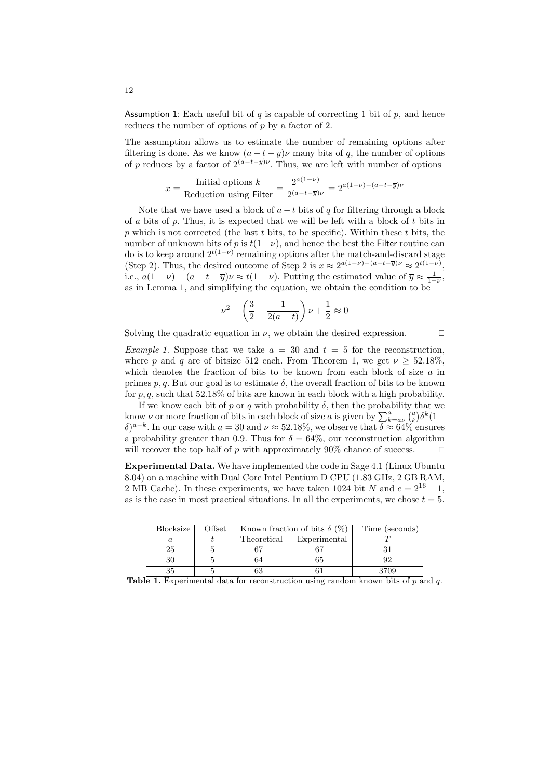Assumption 1: Each useful bit of  $q$  is capable of correcting 1 bit of  $p$ , and hence reduces the number of options of  $p$  by a factor of 2.

The assumption allows us to estimate the number of remaining options after filtering is done. As we know  $(a - t - \overline{y})\nu$  many bits of q, the number of options of p reduces by a factor of  $2^{(a-t-\overline{y})\nu}$ . Thus, we are left with number of options

$$
x = \frac{\text{Initial options } k}{\text{Reduction using Filter}} = \frac{2^{a(1-\nu)}}{2^{(a-t-\overline{y})\nu}} = 2^{a(1-\nu)-(a-t-\overline{y})\nu}
$$

Note that we have used a block of  $a - t$  bits of q for filtering through a block of a bits of  $p$ . Thus, it is expected that we will be left with a block of  $t$  bits in  $p$  which is not corrected (the last  $t$  bits, to be specific). Within these  $t$  bits, the number of unknown bits of p is  $t(1-\nu)$ , and hence the best the Filter routine can do is to keep around  $2^{t(1-\nu)}$  remaining options after the match-and-discard stage (Step 2). Thus, the desired outcome of Step 2 is  $x \approx 2^{a(1-\nu)-(a-t-\overline{y})\nu} \approx 2^{t(1-\nu)}$ , i.e.,  $a(1-\nu) - (a - t - \overline{y})\nu \approx t(1-\nu)$ . Putting the estimated value of  $\overline{y} \approx \frac{1}{1-\nu}$ , as in Lemma 1, and simplifying the equation, we obtain the condition to be

$$
\nu^{2} - \left(\frac{3}{2} - \frac{1}{2(a-t)}\right)\nu + \frac{1}{2} \approx 0
$$

Solving the quadratic equation in  $\nu$ , we obtain the desired expression. □

Example 1. Suppose that we take  $a = 30$  and  $t = 5$  for the reconstruction, where p and q are of bitsize 512 each. From Theorem 1, we get  $\nu > 52.18\%$ , which denotes the fraction of bits to be known from each block of size  $a$  in primes p, q. But our goal is to estimate  $\delta$ , the overall fraction of bits to be known for  $p, q$ , such that 52.18% of bits are known in each block with a high probability.

If we know each bit of p or q with probability  $\delta$ , then the probability that we know v or more fraction of bits in each block of size a is given by  $\sum_{k=a}^{a} {a \choose k} \delta^{k} (1-\$  $\delta$ )<sup>a-k</sup>. In our case with  $a = 30$  and  $\nu \approx 52.18\%$ , we observe that  $\delta \approx 64\%$  ensures a probability greater than 0.9. Thus for  $\delta = 64\%$ , our reconstruction algorithm will recover the top half of p with approximately 90% chance of success.  $\Box$ 

Experimental Data. We have implemented the code in Sage 4.1 (Linux Ubuntu 8.04) on a machine with Dual Core Intel Pentium D CPU (1.83 GHz, 2 GB RAM, 2 MB Cache). In these experiments, we have taken 1024 bit N and  $e = 2^{16} + 1$ , as is the case in most practical situations. In all the experiments, we chose  $t = 5$ .

| <b>Blocksize</b> | Offset | Known fraction of bits $\delta$ (%) |              | Time (seconds) |
|------------------|--------|-------------------------------------|--------------|----------------|
| а                |        | Theoretical                         | Experimental |                |
| 25               |        |                                     |              |                |
| 30               |        | 64                                  |              |                |
| 35               |        |                                     |              | 3709           |

Table 1. Experimental data for reconstruction using random known bits of  $p$  and  $q$ .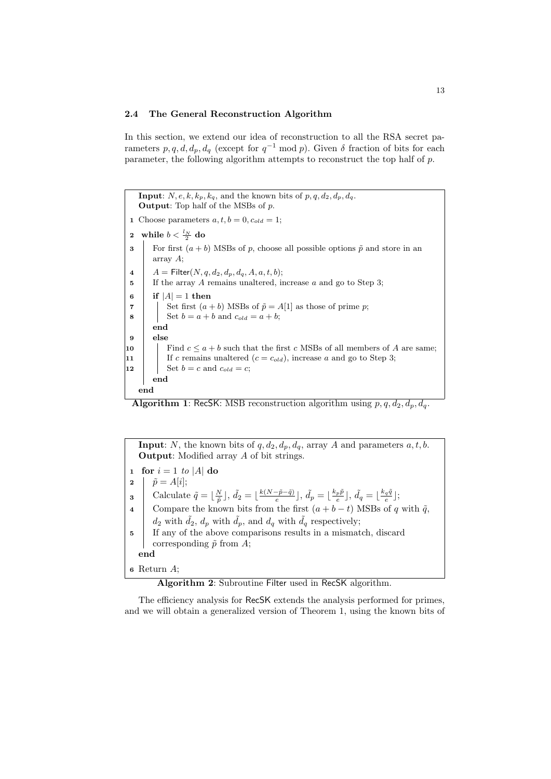#### 2.4 The General Reconstruction Algorithm

In this section, we extend our idea of reconstruction to all the RSA secret parameters  $p, q, d, d_p, d_q$  (except for  $q^{-1}$  mod p). Given  $\delta$  fraction of bits for each parameter, the following algorithm attempts to reconstruct the top half of p.

**Input:**  $N, e, k, k_p, k_q$ , and the known bits of  $p, q, d_2, d_p, d_q$ . Output: Top half of the MSBs of p. 1 Choose parameters  $a, t, b = 0, c_{old} = 1;$ 2 while  $b < \frac{l_N}{2}$  do 3 For first  $(a + b)$  MSBs of p, choose all possible options  $\tilde{p}$  and store in an array A; 4  $A =$  Filter $(N, q, d_2, d_p, d_q, A, a, t, b);$ 5 | If the array A remains unaltered, increase a and go to Step 3; 6 if  $|A| = 1$  then 7 | | Set first  $(a + b)$  MSBs of  $\tilde{p} = A[1]$  as those of prime p; 8 | Set  $b = a + b$  and  $c_{old} = a + b$ ; end 9 else 10 Find  $c \leq a + b$  such that the first c MSBs of all members of A are same; 11 | If c remains unaltered  $(c = c_{old})$ , increase a and go to Step 3; 12 | Set  $b = c$  and  $c_{old} = c$ ; end end

**Algorithm 1:** RecSK: MSB reconstruction algorithm using  $p, q, d_2, d_p, d_q$ .

**Input:** N, the known bits of  $q, d_2, d_p, d_q$ , array A and parameters  $a, t, b$ . Output: Modified array A of bit strings. 1 for  $i = 1$  to |A| do  $\hat{p} = A[i];$ Calculate  $\tilde{q} = \lfloor \frac{N}{\tilde{p}} \rfloor$ ,  $\tilde{d}_2 = \lfloor \frac{k(N-\tilde{p}-\tilde{q})}{e} \rfloor$  $\frac{-\tilde{p}-\tilde{q})}{e}$  ],  $\tilde{d_{p}}=\lfloor\frac{k_{p}\tilde{p}}{e}\rfloor$  $\mathbf{g} \quad \begin{array}{c} \end{array}$  Calculate  $\tilde{q} = \lfloor \frac{N}{\tilde{p}} \rfloor$ ,  $\tilde{d}_2 = \lfloor \frac{k(N-\tilde{p}-\tilde{q})}{e} \rfloor$ ,  $\tilde{d}_p = \lfloor \frac{k_p \tilde{p}}{e} \rfloor$ ,  $\tilde{d}_q = \lfloor \frac{k_q \tilde{q}}{e} \rfloor$ ; 4 Compare the known bits from the first  $(a + b - t)$  MSBs of q with  $\tilde{q}$ ,  $d_2$  with  $\tilde{d}_2$ ,  $d_p$  with  $\tilde{d}_p$ , and  $d_q$  with  $\tilde{d}_q$  respectively; <sup>5</sup> If any of the above comparisons results in a mismatch, discard corresponding  $\tilde{p}$  from A; end <sup>6</sup> Return A;

Algorithm 2: Subroutine Filter used in RecSK algorithm.

The efficiency analysis for RecSK extends the analysis performed for primes, and we will obtain a generalized version of Theorem 1, using the known bits of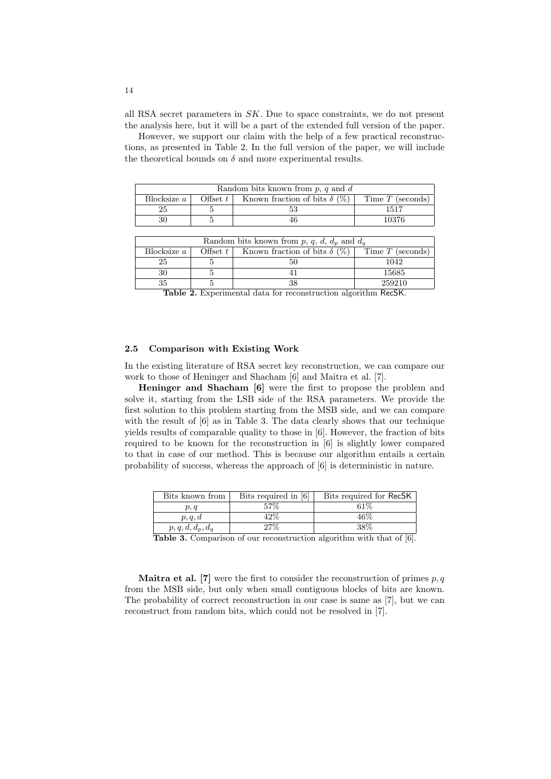all RSA secret parameters in SK. Due to space constraints, we do not present the analysis here, but it will be a part of the extended full version of the paper.

However, we support our claim with the help of a few practical reconstructions, as presented in Table 2. In the full version of the paper, we will include the theoretical bounds on  $\delta$  and more experimental results.

| Random bits known from $p, q$ and $d$ |            |                                     |                    |  |
|---------------------------------------|------------|-------------------------------------|--------------------|--|
| Blocksize a                           | Offset $t$ | Known fraction of bits $\delta$ (%) | Time $T$ (seconds) |  |
|                                       |            |                                     | 1517               |  |
|                                       |            |                                     | 10376              |  |

| Random bits known from p, q, d, $d_p$ and $d_q$ |            |                                     |                    |  |
|-------------------------------------------------|------------|-------------------------------------|--------------------|--|
| Blocksize a                                     | Offset $t$ | Known fraction of bits $\delta$ (%) | Time $T$ (seconds) |  |
| 25                                              |            |                                     | 1042               |  |
| 30                                              |            |                                     | 15685              |  |
| 35                                              |            |                                     | 259210             |  |

Table 2. Experimental data for reconstruction algorithm RecSK.

# 2.5 Comparison with Existing Work

In the existing literature of RSA secret key reconstruction, we can compare our work to those of Heninger and Shacham [6] and Maitra et al. [7].

Heninger and Shacham [6] were the first to propose the problem and solve it, starting from the LSB side of the RSA parameters. We provide the first solution to this problem starting from the MSB side, and we can compare with the result of  $[6]$  as in Table 3. The data clearly shows that our technique yields results of comparable quality to those in [6]. However, the fraction of bits required to be known for the reconstruction in [6] is slightly lower compared to that in case of our method. This is because our algorithm entails a certain probability of success, whereas the approach of [6] is deterministic in nature.

| Bits known from     | Bits required in [6] | Bits required for RecSK                |
|---------------------|----------------------|----------------------------------------|
| p, q                | 57%                  | 61%                                    |
| p, q, d             | 42%                  | 46%                                    |
| $p, q, d, d_p, d_q$ | 27%                  | 38%                                    |
| -----               |                      | $\cdots$ $\cdots$ $\cdots$<br>$\cdots$ |

Table 3. Comparison of our reconstruction algorithm with that of [6].

**Maitra et al.** [7] were the first to consider the reconstruction of primes  $p, q$ from the MSB side, but only when small contiguous blocks of bits are known. The probability of correct reconstruction in our case is same as [7], but we can reconstruct from random bits, which could not be resolved in [7].

14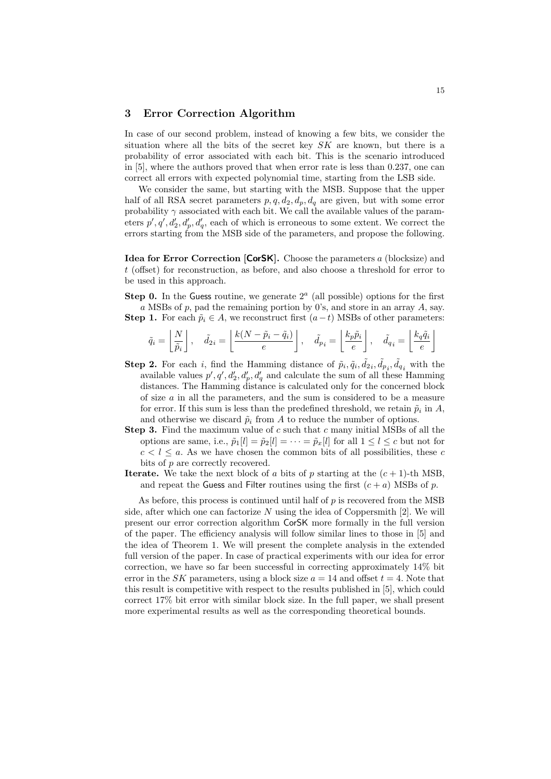# 3 Error Correction Algorithm

In case of our second problem, instead of knowing a few bits, we consider the situation where all the bits of the secret key  $SK$  are known, but there is a probability of error associated with each bit. This is the scenario introduced in [5], where the authors proved that when error rate is less than 0.237, one can correct all errors with expected polynomial time, starting from the LSB side.

We consider the same, but starting with the MSB. Suppose that the upper half of all RSA secret parameters  $p, q, d_2, d_p, d_q$  are given, but with some error probability  $\gamma$  associated with each bit. We call the available values of the parameters  $p', q', d'_2, d'_p, d'_q$ , each of which is erroneous to some extent. We correct the errors starting from the MSB side of the parameters, and propose the following.

Idea for Error Correction [CorSK]. Choose the parameters a (blocksize) and t (offset) for reconstruction, as before, and also choose a threshold for error to be used in this approach.

**Step 0.** In the Guess routine, we generate  $2<sup>a</sup>$  (all possible) options for the first a MSBs of  $p$ , pad the remaining portion by 0's, and store in an array  $A$ , say. Step 1. For each  $\tilde{p}_i \in A$ , we reconstruct first  $(a-t)$  MSBs of other parameters:

$$
\tilde{q}_i = \left\lfloor \frac{N}{\tilde{p}_i} \right\rfloor, \quad \tilde{d}_{2i} = \left\lfloor \frac{k(N-\tilde{p}_i - \tilde{q}_i)}{e} \right\rfloor, \quad \tilde{d}_{p_i} = \left\lfloor \frac{k_p \tilde{p}_i}{e} \right\rfloor, \quad \tilde{d}_{q_i} = \left\lfloor \frac{k_q \tilde{q}_i}{e} \right\rfloor
$$

- **Step 2.** For each *i*, find the Hamming distance of  $\tilde{p}_i, \tilde{q}_i, \tilde{d}_{2i}, \tilde{d}_{pi}$  with the available values  $p', q', d'_2, d'_p, d'_q$  and calculate the sum of all these Hamming distances. The Hamming distance is calculated only for the concerned block of size  $a$  in all the parameters, and the sum is considered to be a measure for error. If this sum is less than the predefined threshold, we retain  $\tilde{p}_i$  in  $A$ , and otherwise we discard  $\tilde{p}_i$  from A to reduce the number of options.
- **Step 3.** Find the maximum value of  $c$  such that  $c$  many initial MSBs of all the options are same, i.e.,  $\tilde{p}_1[l] = \tilde{p}_2[l] = \cdots = \tilde{p}_x[l]$  for all  $1 \leq l \leq c$  but not for  $c < l \leq a$ . As we have chosen the common bits of all possibilities, these c bits of  $p$  are correctly recovered.
- **Iterate.** We take the next block of a bits of p starting at the  $(c + 1)$ -th MSB, and repeat the Guess and Filter routines using the first  $(c + a)$  MSBs of p.

As before, this process is continued until half of  $p$  is recovered from the MSB side, after which one can factorize  $N$  using the idea of Coppersmith [2]. We will present our error correction algorithm CorSK more formally in the full version of the paper. The efficiency analysis will follow similar lines to those in [5] and the idea of Theorem 1. We will present the complete analysis in the extended full version of the paper. In case of practical experiments with our idea for error correction, we have so far been successful in correcting approximately 14% bit error in the SK parameters, using a block size  $a = 14$  and offset  $t = 4$ . Note that this result is competitive with respect to the results published in [5], which could correct 17% bit error with similar block size. In the full paper, we shall present more experimental results as well as the corresponding theoretical bounds.